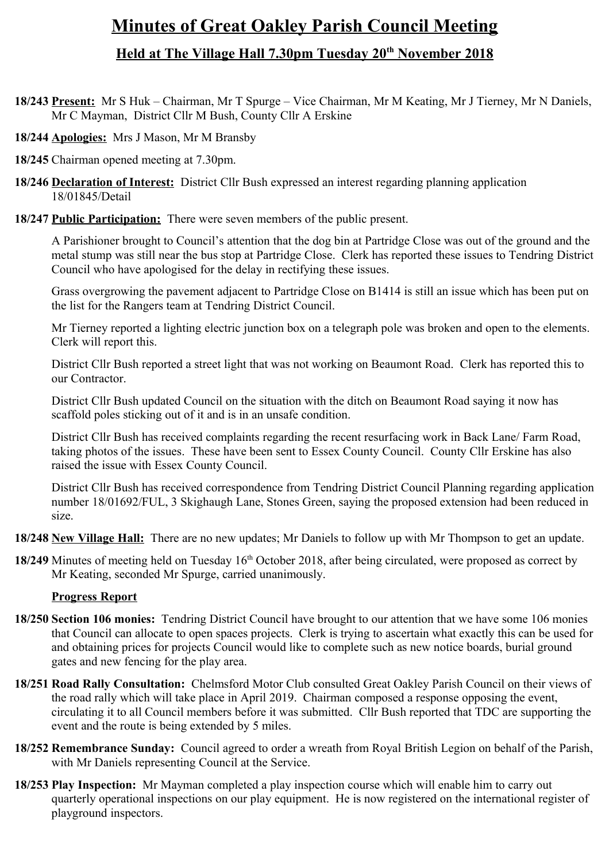# **Minutes of Great Oakley Parish Council Meeting Held at The Village Hall 7.30pm Tuesday 20th November 2018**

- **18/243 Present:** Mr S Huk Chairman, Mr T Spurge Vice Chairman, Mr M Keating, Mr J Tierney, Mr N Daniels, Mr C Mayman, District Cllr M Bush, County Cllr A Erskine
- **18/244 Apologies:** Mrs J Mason, Mr M Bransby
- **18/245** Chairman opened meeting at 7.30pm.
- **18/246 Declaration of Interest:** District Cllr Bush expressed an interest regarding planning application 18/01845/Detail
- **18/247 Public Participation:** There were seven members of the public present.

A Parishioner brought to Council's attention that the dog bin at Partridge Close was out of the ground and the metal stump was still near the bus stop at Partridge Close. Clerk has reported these issues to Tendring District Council who have apologised for the delay in rectifying these issues.

Grass overgrowing the pavement adjacent to Partridge Close on B1414 is still an issue which has been put on the list for the Rangers team at Tendring District Council.

Mr Tierney reported a lighting electric junction box on a telegraph pole was broken and open to the elements. Clerk will report this.

District Cllr Bush reported a street light that was not working on Beaumont Road. Clerk has reported this to our Contractor.

District Cllr Bush updated Council on the situation with the ditch on Beaumont Road saying it now has scaffold poles sticking out of it and is in an unsafe condition.

District Cllr Bush has received complaints regarding the recent resurfacing work in Back Lane/ Farm Road, taking photos of the issues. These have been sent to Essex County Council. County Cllr Erskine has also raised the issue with Essex County Council.

District Cllr Bush has received correspondence from Tendring District Council Planning regarding application number 18/01692/FUL, 3 Skighaugh Lane, Stones Green, saying the proposed extension had been reduced in size.

**18/248 New Village Hall:** There are no new updates; Mr Daniels to follow up with Mr Thompson to get an update.

**18/249** Minutes of meeting held on Tuesday 16<sup>th</sup> October 2018, after being circulated, were proposed as correct by Mr Keating, seconded Mr Spurge, carried unanimously.

### **Progress Report**

- **18/250 Section 106 monies:** Tendring District Council have brought to our attention that we have some 106 monies that Council can allocate to open spaces projects. Clerk is trying to ascertain what exactly this can be used for and obtaining prices for projects Council would like to complete such as new notice boards, burial ground gates and new fencing for the play area.
- **18/251 Road Rally Consultation:** Chelmsford Motor Club consulted Great Oakley Parish Council on their views of the road rally which will take place in April 2019. Chairman composed a response opposing the event, circulating it to all Council members before it was submitted. Cllr Bush reported that TDC are supporting the event and the route is being extended by 5 miles.
- **18/252 Remembrance Sunday:** Council agreed to order a wreath from Royal British Legion on behalf of the Parish, with Mr Daniels representing Council at the Service.
- **18/253 Play Inspection:** Mr Mayman completed a play inspection course which will enable him to carry out quarterly operational inspections on our play equipment. He is now registered on the international register of playground inspectors.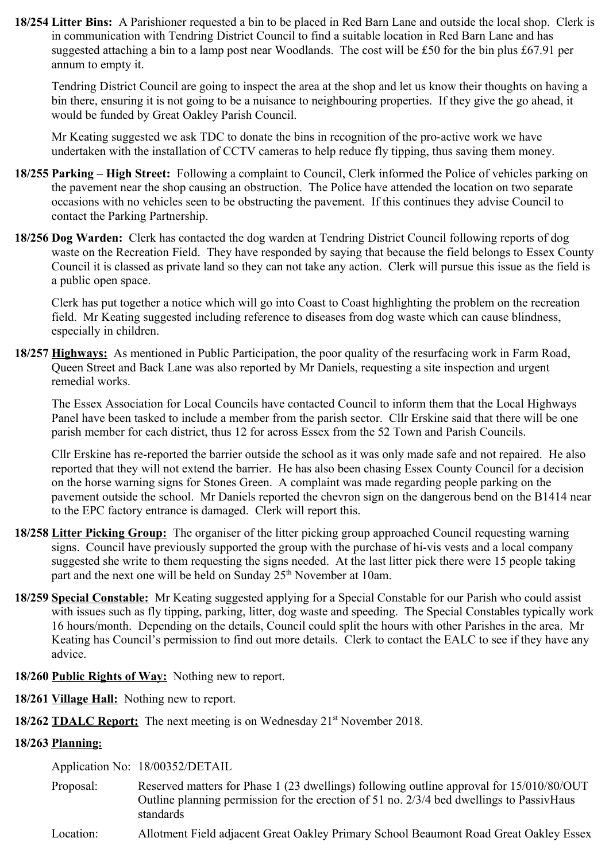**18/254 Litter Bins:** A Parishioner requested a bin to be placed in Red Barn Lane and outside the local shop. Clerk is in communication with Tendring District Council to find a suitable location in Red Barn Lane and has suggested attaching a bin to a lamp post near Woodlands. The cost will be £50 for the bin plus £67.91 per annum to empty it.

Tendring District Council are going to inspect the area at the shop and let us know their thoughts on having a bin there, ensuring it is not going to be a nuisance to neighbouring properties. If they give the go ahead, it would be funded by Great Oakley Parish Council.

Mr Keating suggested we ask TDC to donate the bins in recognition of the pro-active work we have undertaken with the installation of CCTV cameras to help reduce fly tipping, thus saving them money.

- **18/255 Parking High Street:** Following a complaint to Council, Clerk informed the Police of vehicles parking on the pavement near the shop causing an obstruction. The Police have attended the location on two separate occasions with no vehicles seen to be obstructing the pavement. If this continues they advise Council to contact the Parking Partnership.
- **18/256 Dog Warden:** Clerk has contacted the dog warden at Tendring District Council following reports of dog waste on the Recreation Field. They have responded by saying that because the field belongs to Essex County Council it is classed as private land so they can not take any action. Clerk will pursue this issue as the field is a public open space.

Clerk has put together a notice which will go into Coast to Coast highlighting the problem on the recreation field. Mr Keating suggested including reference to diseases from dog waste which can cause blindness, especially in children.

**18/257 Highways:** As mentioned in Public Participation, the poor quality of the resurfacing work in Farm Road, Queen Street and Back Lane was also reported by Mr Daniels, requesting a site inspection and urgent remedial works.

The Essex Association for Local Councils have contacted Council to inform them that the Local Highways Panel have been tasked to include a member from the parish sector. Cllr Erskine said that there will be one parish member for each district, thus 12 for across Essex from the 52 Town and Parish Councils.

Cllr Erskine has re-reported the barrier outside the school as it was only made safe and not repaired. He also reported that they will not extend the barrier. He has also been chasing Essex County Council for a decision on the horse warning signs for Stones Green. A complaint was made regarding people parking on the pavement outside the school. Mr Daniels reported the chevron sign on the dangerous bend on the B1414 near to the EPC factory entrance is damaged. Clerk will report this.

- **18/258 Litter Picking Group:** The organiser of the litter picking group approached Council requesting warning signs. Council have previously supported the group with the purchase of hi-vis vests and a local company suggested she write to them requesting the signs needed. At the last litter pick there were 15 people taking part and the next one will be held on Sunday  $25<sup>th</sup>$  November at 10am.
- **18/259 Special Constable:** Mr Keating suggested applying for a Special Constable for our Parish who could assist with issues such as fly tipping, parking, litter, dog waste and speeding. The Special Constables typically work 16 hours/month. Depending on the details, Council could split the hours with other Parishes in the area. Mr Keating has Council's permission to find out more details. Clerk to contact the EALC to see if they have any advice.
- **18/260 Public Rights of Way:** Nothing new to report.
- **18/261 Village Hall:** Nothing new to report.

**18/262 <b>TDALC Report:** The next meeting is on Wednesday 21<sup>st</sup> November 2018.

### **18/263 Planning:**

Application No: 18/00352/DETAIL

- Proposal: Reserved matters for Phase 1 (23 dwellings) following outline approval for 15/010/80/OUT Outline planning permission for the erection of 51 no. 2/3/4 bed dwellings to PassivHaus standards
- Location: Allotment Field adjacent Great Oakley Primary School Beaumont Road Great Oakley Essex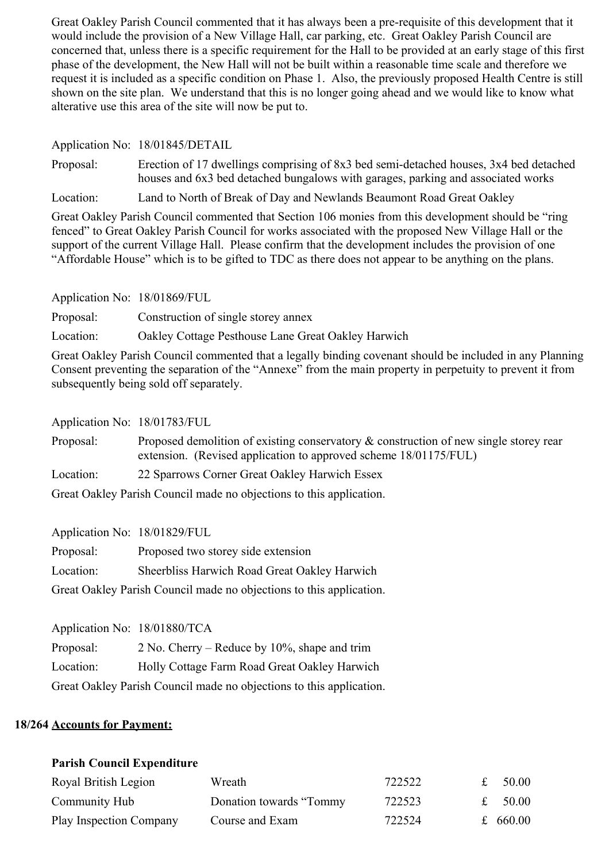Great Oakley Parish Council commented that it has always been a pre-requisite of this development that it would include the provision of a New Village Hall, car parking, etc. Great Oakley Parish Council are concerned that, unless there is a specific requirement for the Hall to be provided at an early stage of this first phase of the development, the New Hall will not be built within a reasonable time scale and therefore we request it is included as a specific condition on Phase 1. Also, the previously proposed Health Centre is still shown on the site plan. We understand that this is no longer going ahead and we would like to know what alterative use this area of the site will now be put to.

Application No: 18/01845/DETAIL

Proposal: Erection of 17 dwellings comprising of 8x3 bed semi-detached houses, 3x4 bed detached houses and 6x3 bed detached bungalows with garages, parking and associated works

Location: Land to North of Break of Day and Newlands Beaumont Road Great Oakley

Great Oakley Parish Council commented that Section 106 monies from this development should be "ring fenced" to Great Oakley Parish Council for works associated with the proposed New Village Hall or the support of the current Village Hall. Please confirm that the development includes the provision of one "Affordable House" which is to be gifted to TDC as there does not appear to be anything on the plans.

Application No: 18/01869/FUL

Proposal: Construction of single storey annex

Location: Oakley Cottage Pesthouse Lane Great Oakley Harwich

Great Oakley Parish Council commented that a legally binding covenant should be included in any Planning Consent preventing the separation of the "Annexe" from the main property in perpetuity to prevent it from subsequently being sold off separately.

Application No: 18/01783/FUL

Proposal: Proposed demolition of existing conservatory & construction of new single storey rear extension. (Revised application to approved scheme 18/01175/FUL)

Location: 22 Sparrows Corner Great Oakley Harwich Essex

Great Oakley Parish Council made no objections to this application.

Application No: 18/01829/FUL Proposal: Proposed two storey side extension Location: Sheerbliss Harwich Road Great Oakley Harwich Great Oakley Parish Council made no objections to this application.

Application No: 18/01880/TCA

Proposal: 2 No. Cherry – Reduce by 10%, shape and trim Location: Holly Cottage Farm Road Great Oakley Harwich Great Oakley Parish Council made no objections to this application.

## **18/264 Accounts for Payment:**

#### **Parish Council Expenditure**

| Royal British Legion    | Wreath                  | 722522 | $\mathbf{r}$ | 50.00    |
|-------------------------|-------------------------|--------|--------------|----------|
| Community Hub           | Donation towards "Tommy | 722523 |              | £ 50.00  |
| Play Inspection Company | Course and Exam         | 722524 |              | £ 660.00 |